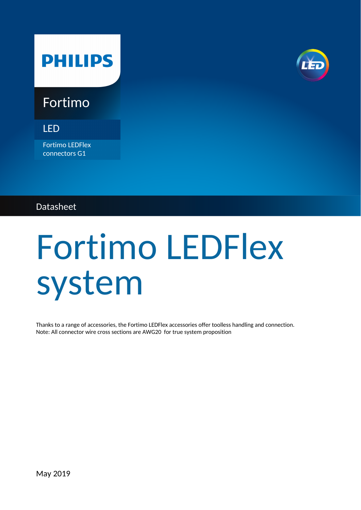## **PHILIPS**



### Fortimo

LED

Fortimo LEDFlex connectors G1

#### Datasheet

# Fortimo LEDFlex system

Thanks to a range of accessories, the Fortimo LEDFlex accessories offer toolless handling and connection. Note: All connector wire cross sections are AWG20 for true system proposition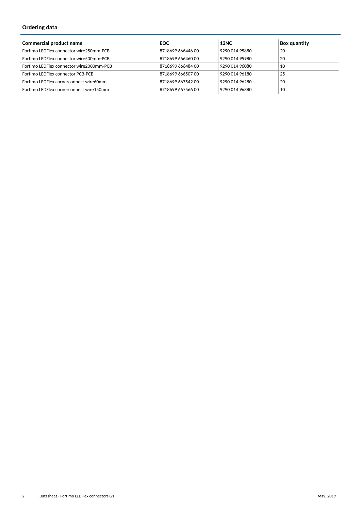#### **Ordering data**

| <b>Commercial product name</b>            | <b>EOC</b>        | <b>12NC</b>    | <b>Box quantity</b> |
|-------------------------------------------|-------------------|----------------|---------------------|
| Fortimo LEDFlex connector wire 250mm-PCB  | 8718699 666446 00 | 9290 014 95880 | 20                  |
| Fortimo LEDFlex connector wire500mm-PCB   | 8718699 666460 00 | 9290 014 95980 | 20                  |
| Fortimo LEDFlex connector wire 2000mm-PCB | 8718699 666484 00 | 9290 014 96080 | 10                  |
| Fortimo LEDFlex connector PCB-PCB         | 8718699 666507 00 | 9290 014 96180 | 25                  |
| Fortimo LEDFlex cornerconnect wire60mm    | 8718699 667542 00 | 9290 014 96280 | 20                  |
| Fortimo LEDFlex cornerconnect wire150mm   | 8718699 667566 00 | 9290 014 96380 | 10                  |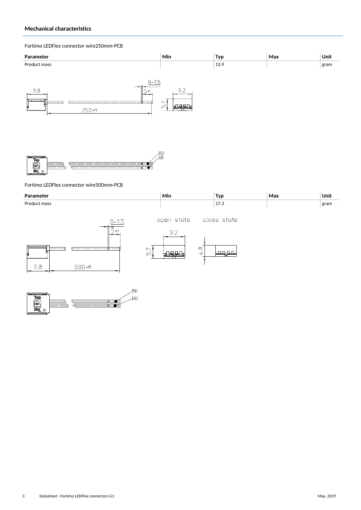#### **Mechanical characteristics**

#### Fortimo LEDFlex connector wire250mm-PCB





#### Fortimo LEDFlex connector wire500mm-PCB

| Parameter                                                             | Min                                      | <b>Typ</b>           | Max | Unit |
|-----------------------------------------------------------------------|------------------------------------------|----------------------|-----|------|
| Product mass                                                          |                                          | 17.3                 |     | gram |
| $2 - 15$<br>1± ר'<br>$\overline{ }$<br>$\sim$<br>ĽŪ<br>9,8<br>500 +15 | open state<br>9,2<br>$\infty$<br>$\prec$ | close state<br>مو مم |     |      |

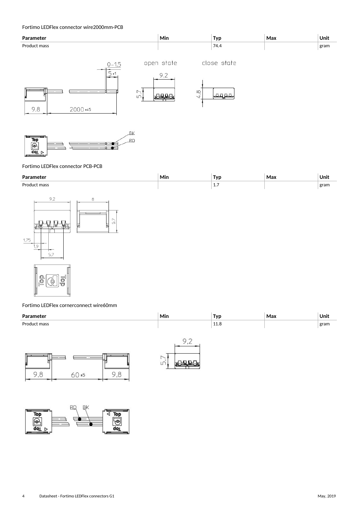#### Fortimo LEDFlex connector wire2000mm-PCB





#### Fortimo LEDFlex connector PCB-PCB

| Parameter                                                                                                         | Min | <b>Typ</b> | Max | Unit |
|-------------------------------------------------------------------------------------------------------------------|-----|------------|-----|------|
| Product mass                                                                                                      |     | $1.7\,$    |     | gram |
| 9,2<br>8<br>5,7<br>희<br>E<br>Y<br>ᅩ<br>1,75<br>1,9<br>5,7<br>$\bigcap$<br>$\Box$<br>Ш<br>$\overline{\phantom{0}}$ |     |            |     |      |

#### Fortimo LEDFlex cornerconnect wire60mm

<u>|| 0 (4 | 9</u>

| Parameter    | Min | Typ  | Max | Unit |
|--------------|-----|------|-----|------|
| Product mass |     | 11.8 |     | gram |
|              |     |      |     |      |





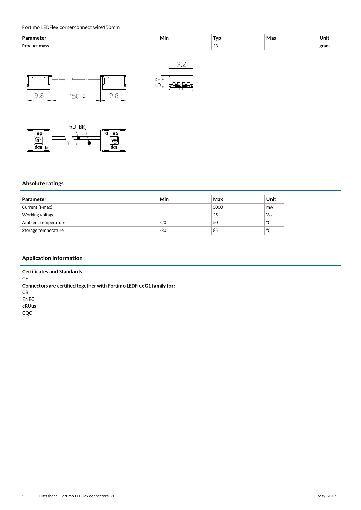#### Fortimo LEDFlex cornerconnect wire150mm





#### **Absolute ratings**

| Parameter           | Min   | Max  | Unit     |
|---------------------|-------|------|----------|
| Current (I-max)     |       | 5000 | mA       |
| Working voltage     |       | 25   | $V_{dc}$ |
| Ambient temperature | $-20$ | 50   | °C       |
| Storage temperature | $-30$ | 85   | °C       |

#### **Application information**

**Certificates and Standards CE** Connectors are certified together with Fortimo LEDFlex G1 family for: CB ENEC cRUus CQC